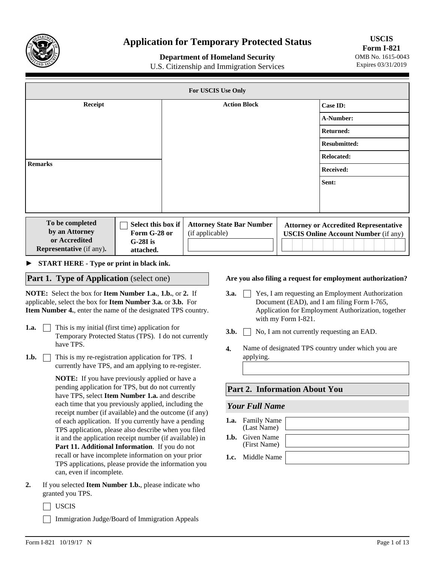

# **Application for Temporary Protected Status**

## **Department of Homeland Security**

U.S. Citizenship and Immigration Services

**USCIS Form I-821**  OMB No. 1615-0043 Expires 03/31/2019

| For USCIS Use Only                                 |                                                  |                     |                                                     |          |                                                                                             |
|----------------------------------------------------|--------------------------------------------------|---------------------|-----------------------------------------------------|----------|---------------------------------------------------------------------------------------------|
| Receipt                                            |                                                  | <b>Action Block</b> |                                                     | Case ID: |                                                                                             |
|                                                    |                                                  |                     |                                                     |          | A-Number:                                                                                   |
|                                                    |                                                  |                     |                                                     |          | <b>Returned:</b>                                                                            |
|                                                    |                                                  |                     |                                                     |          | <b>Resubmitted:</b>                                                                         |
|                                                    |                                                  |                     |                                                     |          | <b>Relocated:</b>                                                                           |
| <b>Remarks</b>                                     |                                                  |                     |                                                     |          | Received:                                                                                   |
|                                                    |                                                  |                     |                                                     |          | Sent:                                                                                       |
|                                                    |                                                  |                     |                                                     |          |                                                                                             |
|                                                    |                                                  |                     |                                                     |          |                                                                                             |
| To be completed<br>by an Attorney<br>or Accredited | Select this box if<br>Form G-28 or<br>$G-28I$ is |                     | <b>Attorney State Bar Number</b><br>(if applicable) |          | <b>Attorney or Accredited Representative</b><br><b>USCIS Online Account Number (if any)</b> |
| <b>Representative</b> (if any).                    | attached.                                        |                     |                                                     |          |                                                                                             |

► **START HERE - Type or print in black ink.**

### **Part 1. Type of Application** (select one)

**NOTE:** Select the box for **Item Number 1.a.**, **1.b.**, or **2.** If applicable, select the box for **Item Number 3.a.** or **3.b.** For **Item Number 4.**, enter the name of the designated TPS country.

- **1.a.** This is my initial (first time) application for Temporary Protected Status (TPS). I do not currently have TPS.
- **1.b.** This is my re-registration application for TPS. I currently have TPS, and am applying to re-register.

**NOTE:** If you have previously applied or have a pending application for TPS, but do not currently have TPS, select **Item Number 1.a.** and describe each time that you previously applied, including the receipt number (if available) and the outcome (if any) of each application. If you currently have a pending TPS application, please also describe when you filed it and the application receipt number (if available) in **Part 11. Additional Information**. If you do not recall or have incomplete information on your prior TPS applications, please provide the information you can, even if incomplete.

- **2.** If you selected **Item Number 1.b.**, please indicate who granted you TPS.
	- USCIS

Immigration Judge/Board of Immigration Appeals

#### **Are you also filing a request for employment authorization?**

- **3.a.**  $\vert$  **Yes, I am requesting an Employment Authorization** Document (EAD), and I am filing Form I-765, Application for Employment Authorization, together with my Form I-821.
- **3.b.**  $\Box$  No, I am not currently requesting an EAD.
- Name of designated TPS country under which you are applying. **4.**

#### **Part 2. Information About You**

#### *Your Full Name*

| <b>1.a.</b> Family Name<br>(Last Name) |  |
|----------------------------------------|--|
| <b>1.b.</b> Given Name<br>(First Name) |  |
| 1.c. Middle Name                       |  |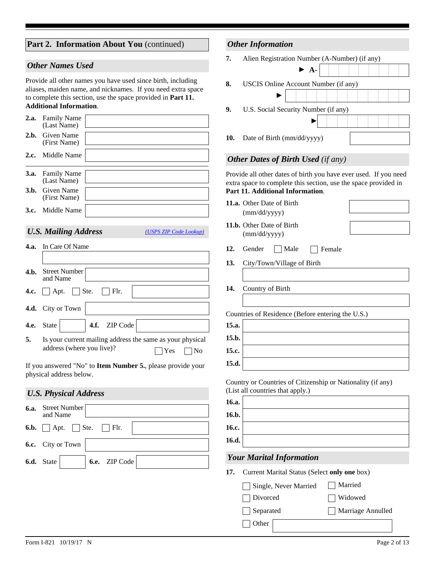|  | Part 2. Information About You (continued) |  |  |
|--|-------------------------------------------|--|--|
|--|-------------------------------------------|--|--|

#### *Other Names Used*

Provide all other names you have used since birth, including aliases, maiden name, and nicknames. If you need extra space to complete this section, use the space provided in **Part 11. Additional Information**.

| 2.a. Family Name<br>(Last Name)        |  |
|----------------------------------------|--|
| 2.b. Given Name<br>(First Name)        |  |
| 2.c. Middle Name                       |  |
|                                        |  |
| <b>3.a.</b> Family Name<br>(Last Name) |  |
| <b>3.b.</b> Given Name<br>(First Name) |  |

# *U.S. Mailing Address*

*[\(USPS ZIP Code Lookup\)](https://tools.usps.com/go/ZipLookupAction_input)*

|      | 4.a. In Care Of Name                                                                                |
|------|-----------------------------------------------------------------------------------------------------|
|      |                                                                                                     |
| 4.h. | Street Number<br>and Name                                                                           |
|      | 4.c. $\Box$ Apt. $\Box$ Ste. $\Box$ Flr.                                                            |
|      | 4.d. City or Town                                                                                   |
|      | $\blacktriangleright$ 4.f. ZIP Code<br><b>4.e.</b> State                                            |
| 5.   | Is your current mailing address the same as your physical<br>address (where you live)?<br>Yes<br>No |

If you answered "No" to **Item Number 5.**, please provide your physical address below.

# *U.S. Physical Address*

| 6.a. | Street Number<br>and Name                       |                                                             |  |
|------|-------------------------------------------------|-------------------------------------------------------------|--|
|      | <b>6.b.</b> $\Box$ Apt. $\Box$ Ste. $\Box$ Flr. |                                                             |  |
|      | <b>6.c.</b> City or Town $\vert$                |                                                             |  |
|      |                                                 | <b>6.d.</b> State $\overline{\bullet}$ <b>6.e.</b> ZIP Code |  |

# *Other Information*

| 7. | Alien Registration Number (A-Number) (if any) |  |
|----|-----------------------------------------------|--|
|----|-----------------------------------------------|--|

|     | $\blacktriangleright$ A-             |
|-----|--------------------------------------|
| 8.  | USCIS Online Account Number (if any) |
|     |                                      |
| 9.  | U.S. Social Security Number (if any) |
|     |                                      |
| 10. | Date of Birth (mm/dd/yyyy)           |

# *Other Dates of Birth Used (if any)*

Provide all other dates of birth you have ever used. If you need extra space to complete this section, use the space provided in **Part 11. Additional Information**.

**11.a.** Other Date of Birth (mm/dd/yyyy)

- **11.b.** Other Date of Birth (mm/dd/yyyy)
- 
- 12. Gender Male **Female**
- **13.** City/Town/Village of Birth
- **14.** Country of Birth

Countries of Residence (Before entering the U.S.)

**15.a. 15.b. 15.c. 15.d.**

Country or Countries of Citizenship or Nationality (if any) (List all countries that apply.)

| 16.a. |                                 |
|-------|---------------------------------|
| 16.b. |                                 |
| 16.c. |                                 |
| 16.d. |                                 |
|       | <b>Your Marital Information</b> |
|       |                                 |

### **17.** Current Marital Status (Select **only one** box)

- Single, Never Married Married
- Divorced Widowed

Separated Marriage Annulled

Other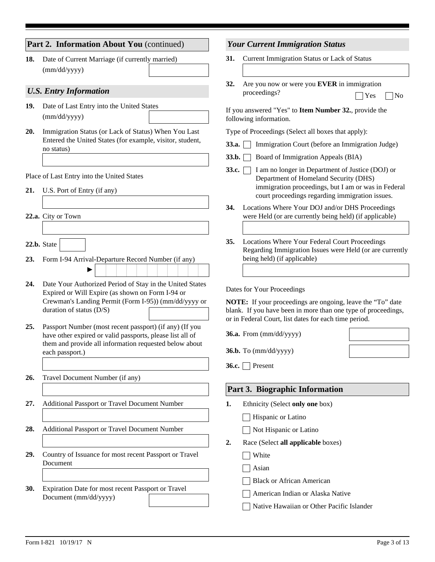|     | Part 2. Information About You (continued)                                                                | <b>Your Current Immigration Status</b>                                                                                                          |  |  |
|-----|----------------------------------------------------------------------------------------------------------|-------------------------------------------------------------------------------------------------------------------------------------------------|--|--|
| 18. | Date of Current Marriage (if currently married)                                                          | 31.<br>Current Immigration Status or Lack of Status                                                                                             |  |  |
|     | (mm/dd/yyyy)                                                                                             |                                                                                                                                                 |  |  |
|     |                                                                                                          | 32.<br>Are you now or were you EVER in immigration                                                                                              |  |  |
|     | <b>U.S. Entry Information</b>                                                                            | proceedings?<br>Yes<br>$\log$                                                                                                                   |  |  |
| 19. | Date of Last Entry into the United States<br>(mm/dd/yyyy)                                                | If you answered "Yes" to Item Number 32., provide the<br>following information.                                                                 |  |  |
| 20. | Immigration Status (or Lack of Status) When You Last                                                     | Type of Proceedings (Select all boxes that apply):                                                                                              |  |  |
|     | Entered the United States (for example, visitor, student,<br>no status)                                  | 33.a.<br>Immigration Court (before an Immigration Judge)                                                                                        |  |  |
|     |                                                                                                          | 33.b.<br>Board of Immigration Appeals (BIA)                                                                                                     |  |  |
|     | Place of Last Entry into the United States                                                               | 33.c.<br>I am no longer in Department of Justice (DOJ) or                                                                                       |  |  |
| 21. | U.S. Port of Entry (if any)                                                                              | Department of Homeland Security (DHS)<br>immigration proceedings, but I am or was in Federal<br>court proceedings regarding immigration issues. |  |  |
|     |                                                                                                          | Locations Where Your DOJ and/or DHS Proceedings<br>34.                                                                                          |  |  |
|     | 22.a. City or Town                                                                                       | were Held (or are currently being held) (if applicable)                                                                                         |  |  |
|     |                                                                                                          |                                                                                                                                                 |  |  |
|     | 22.b. State<br>$\vert \vert$                                                                             | 35.<br>Locations Where Your Federal Court Proceedings<br>Regarding Immigration Issues were Held (or are currently                               |  |  |
| 23. | Form I-94 Arrival-Departure Record Number (if any)                                                       | being held) (if applicable)                                                                                                                     |  |  |
|     |                                                                                                          |                                                                                                                                                 |  |  |
| 24. | Date Your Authorized Period of Stay in the United States                                                 | Dates for Your Proceedings                                                                                                                      |  |  |
|     | Expired or Will Expire (as shown on Form I-94 or<br>Crewman's Landing Permit (Form I-95)) (mm/dd/yyyy or | NOTE: If your proceedings are ongoing, leave the "To" date                                                                                      |  |  |
|     | duration of status (D/S)                                                                                 | blank. If you have been in more than one type of proceedings,                                                                                   |  |  |
| 25. | Passport Number (most recent passport) (if any) (If you                                                  | or in Federal Court, list dates for each time period.                                                                                           |  |  |
|     | have other expired or valid passports, please list all of                                                | 36.a. From (mm/dd/yyyy)                                                                                                                         |  |  |
|     | them and provide all information requested below about<br>each passport.)                                | $36.b.$ To $(mm/dd/yyyy)$                                                                                                                       |  |  |
|     |                                                                                                          | 36.c. Present                                                                                                                                   |  |  |
| 26. | Travel Document Number (if any)                                                                          |                                                                                                                                                 |  |  |
|     |                                                                                                          | Part 3. Biographic Information                                                                                                                  |  |  |
| 27. | Additional Passport or Travel Document Number                                                            | 1.                                                                                                                                              |  |  |
|     |                                                                                                          | Ethnicity (Select only one box)<br>Hispanic or Latino                                                                                           |  |  |
| 28. | Additional Passport or Travel Document Number                                                            | Not Hispanic or Latino                                                                                                                          |  |  |
|     |                                                                                                          |                                                                                                                                                 |  |  |
| 29. | Country of Issuance for most recent Passport or Travel                                                   | Race (Select all applicable boxes)<br>2.                                                                                                        |  |  |
|     | Document                                                                                                 | White                                                                                                                                           |  |  |
|     |                                                                                                          | Asian                                                                                                                                           |  |  |
| 30. | Expiration Date for most recent Passport or Travel                                                       | <b>Black or African American</b>                                                                                                                |  |  |
|     | Document (mm/dd/yyyy)                                                                                    | American Indian or Alaska Native                                                                                                                |  |  |
|     |                                                                                                          | Native Hawaiian or Other Pacific Islander                                                                                                       |  |  |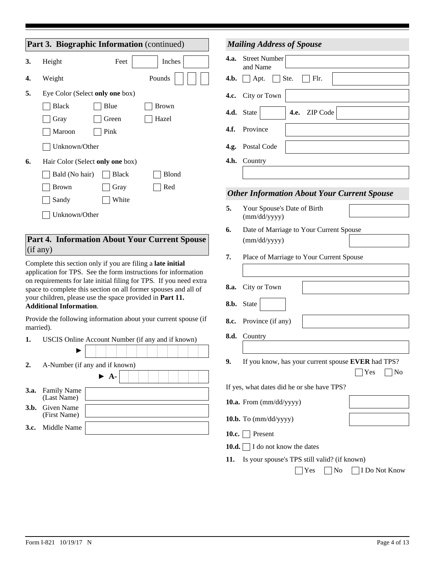|                                                                                                                                                                                                                                                                                                                                                                      | Part 3. Biographic Information (continued) |                                  |                                                                 |  |  |  |  |
|----------------------------------------------------------------------------------------------------------------------------------------------------------------------------------------------------------------------------------------------------------------------------------------------------------------------------------------------------------------------|--------------------------------------------|----------------------------------|-----------------------------------------------------------------|--|--|--|--|
| 3.                                                                                                                                                                                                                                                                                                                                                                   | Height                                     | Feet                             | Inches                                                          |  |  |  |  |
| 4.                                                                                                                                                                                                                                                                                                                                                                   | Weight                                     |                                  | Pounds                                                          |  |  |  |  |
| 5.                                                                                                                                                                                                                                                                                                                                                                   |                                            | Eye Color (Select only one box)  |                                                                 |  |  |  |  |
|                                                                                                                                                                                                                                                                                                                                                                      | <b>Black</b>                               | Blue                             | <b>Brown</b>                                                    |  |  |  |  |
|                                                                                                                                                                                                                                                                                                                                                                      | Gray                                       | Green                            | Hazel                                                           |  |  |  |  |
|                                                                                                                                                                                                                                                                                                                                                                      | Maroon                                     | Pink                             |                                                                 |  |  |  |  |
|                                                                                                                                                                                                                                                                                                                                                                      | Unknown/Other                              |                                  |                                                                 |  |  |  |  |
| 6.                                                                                                                                                                                                                                                                                                                                                                   |                                            | Hair Color (Select only one box) |                                                                 |  |  |  |  |
|                                                                                                                                                                                                                                                                                                                                                                      | Bald (No hair)                             | <b>Black</b>                     | Blond                                                           |  |  |  |  |
|                                                                                                                                                                                                                                                                                                                                                                      | <b>Brown</b>                               | Gray                             | Red                                                             |  |  |  |  |
|                                                                                                                                                                                                                                                                                                                                                                      | Sandy                                      | White                            |                                                                 |  |  |  |  |
|                                                                                                                                                                                                                                                                                                                                                                      | Unknown/Other                              |                                  |                                                                 |  |  |  |  |
|                                                                                                                                                                                                                                                                                                                                                                      |                                            |                                  |                                                                 |  |  |  |  |
| Part 4. Information About Your Current Spouse<br>(if any)                                                                                                                                                                                                                                                                                                            |                                            |                                  |                                                                 |  |  |  |  |
| Complete this section only if you are filing a late initial<br>application for TPS. See the form instructions for information<br>on requirements for late initial filing for TPS. If you need extra<br>space to complete this section on all former spouses and all of<br>your children, please use the space provided in Part 11.<br><b>Additional Information.</b> |                                            |                                  |                                                                 |  |  |  |  |
|                                                                                                                                                                                                                                                                                                                                                                      | married).                                  |                                  | Provide the following information about your current spouse (if |  |  |  |  |

| 1. | USCIS Online Account Number (if any and if known) |  |  |  |
|----|---------------------------------------------------|--|--|--|
|----|---------------------------------------------------|--|--|--|

| A-Number (if any and if known) |  |  |  |  |  |  |  |  |
|--------------------------------|--|--|--|--|--|--|--|--|
|                                |  |  |  |  |  |  |  |  |

|                                        | . |  |  |  |  |  |
|----------------------------------------|---|--|--|--|--|--|
| <b>3.a.</b> Family Name<br>(Last Name) |   |  |  |  |  |  |
| <b>3.b.</b> Given Name<br>(First Name) |   |  |  |  |  |  |
| <b>3.c.</b> Middle Name                |   |  |  |  |  |  |

|       | <b>Mailing Address of Spouse</b>                                |
|-------|-----------------------------------------------------------------|
| 4.a.  | <b>Street Number</b><br>and Name                                |
| 4.b.  | Flr.<br>$\Box$ Apt.<br>Ste.                                     |
| 4.c.  | City or Town                                                    |
| 4.d.  | ZIP Code<br>4.e.<br><b>State</b>                                |
| 4.f.  | Province                                                        |
| 4.g.  | Postal Code                                                     |
| 4.h.  | Country                                                         |
|       |                                                                 |
|       | <b>Other Information About Your Current Spouse</b>              |
| 5.    | Your Spouse's Date of Birth<br>(mm/dd/yyyy)                     |
| 6.    | Date of Marriage to Your Current Spouse                         |
|       | (mm/dd/yyyy)                                                    |
| 7.    | Place of Marriage to Your Current Spouse                        |
|       |                                                                 |
| 8.a.  | City or Town                                                    |
| 8.b.  | State                                                           |
| 8.c.  | Province (if any)                                               |
| 8.d.  | Country                                                         |
|       |                                                                 |
| 9.    | If you know, has your current spouse EVER had TPS?<br>Yes<br>No |
|       | If yes, what dates did he or she have TPS?                      |
|       | 10.a. From $\text{(mm/dd/yyyy)}$                                |
|       | 10.b. To $(mm/dd/yyyy)$                                         |
| 10.c. | Present                                                         |
| 10.d. | I do not know the dates                                         |

**11.** Is your spouse's TPS still valid? (if known)

| $\Box$ Yes $\Box$ No $\Box$ I Do Not Know |  |
|-------------------------------------------|--|
|-------------------------------------------|--|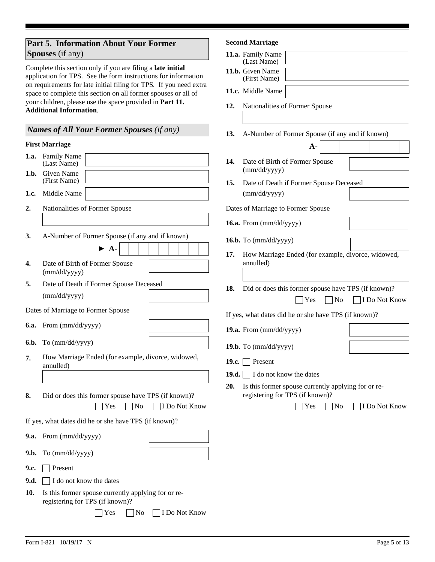# **Part 5. Information About Your Former Spouses** (if any)

Complete this section only if you are filing a **late initial** application for TPS. See the form instructions for information on requirements for late initial filing for TPS*.* If you need extra space to complete this section on all former spouses or all of your children, please use the space provided in **Part 11. Additional Information**.

# *Names of All Your Former Spouses (if any)*

### **First Marriage**

| 1.a. | Family Name<br>14.<br>(Last Name)                                                                    |
|------|------------------------------------------------------------------------------------------------------|
| 1.b. | Given Name<br>(First Name)<br>15.                                                                    |
| 1.c. | Middle Name                                                                                          |
| 2.   | Nationalities of Former Spouse<br>Date<br>16.a                                                       |
| 3.   | A-Number of Former Spouse (if any and if known)<br>16.b<br>$\blacktriangleright$ A-<br>17.           |
| 4.   | Date of Birth of Former Spouse<br>(mm/dd/yyyy)                                                       |
| 5.   | Date of Death if Former Spouse Deceased<br>18.                                                       |
|      | (mm/dd/yyyy)                                                                                         |
|      | Dates of Marriage to Former Spouse<br>If ye                                                          |
| 6.a. | From (mm/dd/yyyy)<br>19.a                                                                            |
| 6.b. | To (mm/dd/yyyy)<br>19.b                                                                              |
| 7.   | How Marriage Ended (for example, divorce, widowed,<br>19.c<br>annulled)                              |
|      | 19.d                                                                                                 |
| 8.   | 20.<br>Did or does this former spouse have TPS (if known)?<br>Yes<br>N <sub>o</sub><br>I Do Not Know |
|      | If yes, what dates did he or she have TPS (if known)?                                                |
| 9.a. | From (mm/dd/yyyy)                                                                                    |
| 9.b. | To (mm/dd/yyyy)                                                                                      |
| 9.c. | Present                                                                                              |
| 9.d. | I do not know the dates                                                                              |
| 10.  | Is this former spouse currently applying for or re-<br>registering for TPS (if known)?               |
|      | <b>I</b> Do Not Know<br>Yes<br>No                                                                    |

### **Second Marriage**

|               | 11.a. Family Name<br>(Last Name)     |                                                                                        |               |
|---------------|--------------------------------------|----------------------------------------------------------------------------------------|---------------|
|               | 11.b. Given Name<br>(First Name)     |                                                                                        |               |
|               | 11.c. Middle Name                    |                                                                                        |               |
| 12.           |                                      | Nationalities of Former Spouse                                                         |               |
| 13.           |                                      | A-Number of Former Spouse (if any and if known)                                        |               |
|               |                                      | $\mathbf{A}$                                                                           |               |
| 14.           | (mm/dd/yyyy)                         | Date of Birth of Former Spouse                                                         |               |
| 15.           | (mm/dd/yyyy)                         | Date of Death if Former Spouse Deceased                                                |               |
|               | Dates of Marriage to Former Spouse   |                                                                                        |               |
|               | 16.a. From (mm/dd/yyyy)              |                                                                                        |               |
|               | 16.b. To $(mm/dd/yyyy)$              |                                                                                        |               |
| 17.           | annulled)                            | How Marriage Ended (for example, divorce, widowed,                                     |               |
| 18.           |                                      | Did or does this former spouse have TPS (if known)?                                    |               |
|               |                                      | Yes<br> No                                                                             | I Do Not Know |
|               |                                      | If yes, what dates did he or she have TPS (if known)?                                  |               |
|               | 19.a. From $\text{(mm/dd/yyyy)}$     |                                                                                        |               |
|               | 19.b. To $(mm/dd/yyyy)$              |                                                                                        |               |
| 19.c. $\vert$ | Present                              |                                                                                        |               |
|               | 19.d. $\Box$ I do not know the dates |                                                                                        |               |
| 20.           |                                      | Is this former spouse currently applying for or re-<br>registering for TPS (if known)? |               |
|               |                                      | $\vert$ Yes<br>$\overline{\rm No}$                                                     | I Do Not Know |
|               |                                      |                                                                                        |               |
|               |                                      |                                                                                        |               |
|               |                                      |                                                                                        |               |
|               |                                      |                                                                                        |               |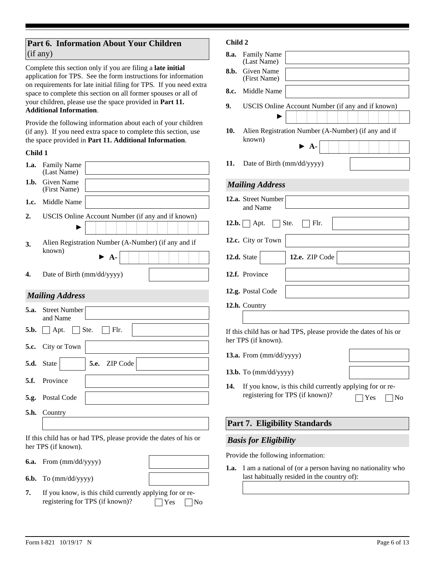# **Part 6. Information About Your Children**  (if any)

Complete this section only if you are filing a **late initial** application for TPS. See the form instructions for information on requirements for late initial filing for TPS*.* If you need extra space to complete this section on all former spouses or all of your children, please use the space provided in **Part 11. Additional Information**.

Provide the following information about each of your children (if any).If you need extra space to complete this section, use the space provided in **Part 11. Additional Information**.

### **Child 1**

| 1.a. | <b>Family Name</b><br>(Last Name)                                                         |
|------|-------------------------------------------------------------------------------------------|
| 1.h. | Given Name<br>(First Name)                                                                |
| 1.c. | Middle Name                                                                               |
| 2.   | USCIS Online Account Number (if any and if known)                                         |
|      |                                                                                           |
| 3.   | Alien Registration Number (A-Number) (if any and if<br>known)<br>$\blacktriangleright$ A- |
| 4.   | Date of Birth (mm/dd/yyyy)                                                                |
|      | <b>Mailing Address</b>                                                                    |
| 5.a. | <b>Street Number</b><br>and Name                                                          |
| 5.b. | Ste.<br> F <br>Apt.                                                                       |
| 5.c. | City or Town                                                                              |
| 5.d. | 5.e. ZIP Code<br><b>State</b>                                                             |
| 5.f. | Province                                                                                  |
| 5.g. | Postal Code                                                                               |
| 5.h. | Country                                                                                   |
|      |                                                                                           |
|      | If this child has or had TPS, please provide the dates of his or<br>her TPS (if known).   |
| 6.a. | From (mm/dd/yyyy)                                                                         |

To (mm/dd/yyyy) **6.b.**

**7.** If you know, is this child currently applying for or reregistering for TPS (if known)?  $\Box$  Yes  $\Box$  No

### **Child 2**

| 8.a. | <b>Family Name</b><br>(Last Name)                                                                        |
|------|----------------------------------------------------------------------------------------------------------|
| 8.b. | Given Name<br>(First Name)                                                                               |
| 8.c. | Middle Name                                                                                              |
| 9.   | USCIS Online Account Number (if any and if known)                                                        |
| 10.  | Alien Registration Number (A-Number) (if any and if<br>known)<br>$\blacktriangleright$ A-                |
| 11.  | Date of Birth (mm/dd/yyyy)                                                                               |
|      | <b>Mailing Address</b>                                                                                   |
|      | 12.a. Street Number<br>and Name                                                                          |
|      | 12.b. $\vert$ Apt.<br>Ste.<br>∣ Flr.                                                                     |
|      | 12.c. City or Town                                                                                       |
|      | 12.d. State<br>12.e. ZIP Code                                                                            |
|      | 12.f. Province                                                                                           |
|      | 12.g. Postal Code                                                                                        |
|      | 12.h. Country                                                                                            |
|      | If this child has or had TPS, please provide the dates of his or<br>her TPS (if known).                  |
|      | 13.a. From (mm/dd/yyyy)                                                                                  |
|      | 13.b. To $(mm/dd/yyyy)$                                                                                  |
| 14.  | If you know, is this child currently applying for or re-<br>registering for TPS (if known)?<br>Yes<br>No |
|      | <b>Part 7. Eligibility Standards</b>                                                                     |
|      | <b>Basis for Eligibility</b>                                                                             |

Provide the following information:

**1.a.** I am a national of (or a person having no nationality who last habitually resided in the country of):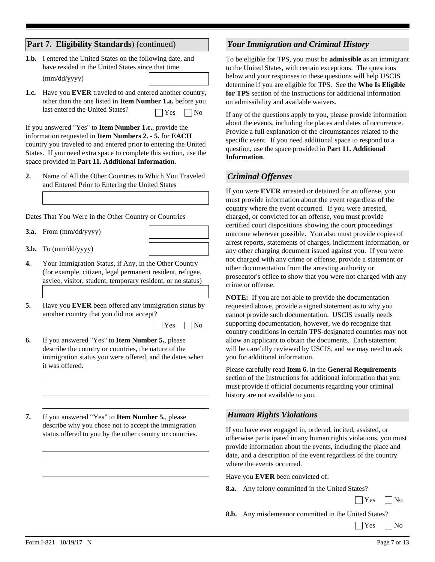## **Part 7. Eligibility Standards**) (continued)

**1.b.** I entered the United States on the following date, and have resided in the United States since that time.

(mm/dd/yyyy)

**1.c.** Have you **EVER** traveled to and entered another country, other than the one listed in **Item Number 1.a.** before you last entered the United States?  $\Box$  Yes  $\Box$  No

If you answered "Yes" to **Item Number 1.c.**, provide the information requested in **Item Numbers 2. - 5.** for **EACH** country you traveled to and entered prior to entering the United States. If you need extra space to complete this section, use the space provided in **Part 11. Additional Information**.

**2.** Name of All the Other Countries to Which You Traveled and Entered Prior to Entering the United States

Dates That You Were in the Other Country or Countries

- From (mm/dd/yyyy) **3.a.**
- To (mm/dd/yyyy) **3.b.**
- **4.** Your Immigration Status, if Any, in the Other Country (for example, citizen, legal permanent resident, refugee, asylee, visitor, student, temporary resident, or no status)
- **5.** Have you **EVER** been offered any immigration status by another country that you did not accept?
	- $\Box$  Yes  $\Box$  No
- **6.** If you answered "Yes" to **Item Number 5.**, please describe the country or countries, the nature of the immigration status you were offered, and the dates when it was offered.
- **7.** If you answered "Yes" to **Item Number 5.**, please describe why you chose not to accept the immigration status offered to you by the other country or countries.

### *Your Immigration and Criminal History*

To be eligible for TPS, you must be **admissible** as an immigrant to the United States, with certain exceptions. The questions below and your responses to these questions will help USCIS determine if you are eligible for TPS. See the **Who Is Eligible for TPS** section of the Instructions for additional information on admissibility and available waivers.

If any of the questions apply to you, please provide information about the events, including the places and dates of occurrence. Provide a full explanation of the circumstances related to the specific event. If you need additional space to respond to a question, use the space provided in **Part 11. Additional Information**.

### *Criminal Offenses*

If you were **EVER** arrested or detained for an offense, you must provide information about the event regardless of the country where the event occurred. If you were arrested, charged, or convicted for an offense, you must provide certified court dispositions showing the court proceedings' outcome wherever possible. You also must provide copies of arrest reports, statements of charges, indictment information, or any other charging document issued against you. If you were not charged with any crime or offense, provide a statement or other documentation from the arresting authority or prosecutor's office to show that you were not charged with any crime or offense.

**NOTE:**If you are not able to provide the documentation requested above, provide a signed statement as to why you cannot provide such documentation. USCIS usually needs supporting documentation, however, we do recognize that country conditions in certain TPS-designated countries may not allow an applicant to obtain the documents. Each statement will be carefully reviewed by USCIS, and we may need to ask you for additional information.

Please carefully read **Item 6.** in the **General Requirements**  section of the Instructions for additional information that you must provide if official documents regarding your criminal history are not available to you.

#### *Human Rights Violations*

If you have ever engaged in, ordered, incited, assisted, or otherwise participated in any human rights violations, you must provide information about the events, including the place and date, and a description of the event regardless of the country where the events occurred.

Have you **EVER** been convicted of:

**8.a.** Any felony committed in the United States?

 $\Box$  Yes  $\Box$  No

- **8.b.** Any misdemeanor committed in the United States?
	- $\bigcap$  Yes  $\bigcap$  No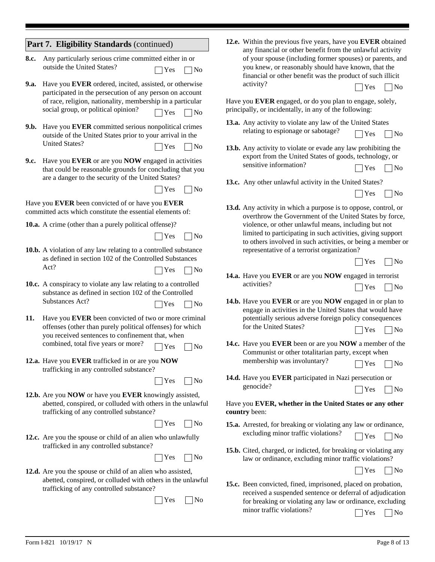|      | Part 7. Eligibility Standards (continued)                                                                               | 12.e. Within the previous five years, have you EVER obtained<br>any financial or other benefit from the unlawful activity  |
|------|-------------------------------------------------------------------------------------------------------------------------|----------------------------------------------------------------------------------------------------------------------------|
| 8.c. | Any particularly serious crime committed either in or                                                                   | of your spouse (including former spouses) or parents, and                                                                  |
|      | outside the United States?<br>Yes<br>No                                                                                 | you knew, or reasonably should have known, that the<br>financial or other benefit was the product of such illicit          |
| 9.a. | Have you EVER ordered, incited, assisted, or otherwise<br>participated in the persecution of any person on account      | activity?<br>Yes<br>No                                                                                                     |
|      | of race, religion, nationality, membership in a particular                                                              | Have you EVER engaged, or do you plan to engage, solely,                                                                   |
|      | social group, or political opinion?<br>N <sub>0</sub><br>Yes                                                            | principally, or incidentally, in any of the following:                                                                     |
| 9.b. | Have you EVER committed serious nonpolitical crimes<br>outside of the United States prior to your arrival in the        | 13.a. Any activity to violate any law of the United States<br>relating to espionage or sabotage?<br>Yes<br>No              |
|      | <b>United States?</b><br>Yes<br>No                                                                                      | <b>13.b.</b> Any activity to violate or evade any law prohibiting the                                                      |
| 9.c. | Have you EVER or are you NOW engaged in activities                                                                      | export from the United States of goods, technology, or<br>sensitive information?                                           |
|      | that could be reasonable grounds for concluding that you<br>are a danger to the security of the United States?          | No<br>Yes                                                                                                                  |
|      | Yes<br> No                                                                                                              | 13.c. Any other unlawful activity in the United States?                                                                    |
|      | Have you EVER been convicted of or have you EVER                                                                        | Yes<br>No                                                                                                                  |
|      | committed acts which constitute the essential elements of:                                                              | 13.d. Any activity in which a purpose is to oppose, control, or<br>overthrow the Government of the United States by force, |
|      | 10.a. A crime (other than a purely political offense)?                                                                  | violence, or other unlawful means, including but not                                                                       |
|      | Yes<br> No                                                                                                              | limited to participating in such activities, giving support<br>to others involved in such activities, or being a member or |
|      | <b>10.b.</b> A violation of any law relating to a controlled substance                                                  | representative of a terrorist organization?                                                                                |
|      | as defined in section 102 of the Controlled Substances<br>Act?                                                          | No<br>Yes                                                                                                                  |
|      | Yes<br>No                                                                                                               | 14.a. Have you EVER or are you NOW engaged in terrorist                                                                    |
|      | 10.c. A conspiracy to violate any law relating to a controlled<br>substance as defined in section 102 of the Controlled | activities?<br>Yes<br> No                                                                                                  |
|      | Substances Act?<br>Yes<br>No                                                                                            | 14.b. Have you EVER or are you NOW engaged in or plan to<br>engage in activities in the United States that would have      |
| 11.  | Have you EVER been convicted of two or more criminal                                                                    | potentially serious adverse foreign policy consequences                                                                    |
|      | offenses (other than purely political offenses) for which<br>you received sentences to confinement that, when           | for the United States?<br>No<br>Yes                                                                                        |
|      | combined, total five years or more?<br>Yes<br>No                                                                        | 14.c. Have you EVER been or are you NOW a member of the                                                                    |
|      | 12.a. Have you EVER trafficked in or are you NOW                                                                        | Communist or other totalitarian party, except when<br>membership was involuntary?                                          |
|      | trafficking in any controlled substance?                                                                                | Yes<br>No                                                                                                                  |
|      | Yes<br> No                                                                                                              | 14.d. Have you EVER participated in Nazi persecution or<br>genocide?                                                       |
|      | 12.b. Are you NOW or have you EVER knowingly assisted,                                                                  | Yes<br> No                                                                                                                 |
|      | abetted, conspired, or colluded with others in the unlawful<br>trafficking of any controlled substance?                 | Have you EVER, whether in the United States or any other<br>country been:                                                  |
|      | Yes<br> No                                                                                                              | 15.a. Arrested, for breaking or violating any law or ordinance,                                                            |
|      | 12.c. Are you the spouse or child of an alien who unlawfully                                                            | excluding minor traffic violations?<br>Yes<br>$\log$                                                                       |
|      | trafficked in any controlled substance?<br>Yes<br> No                                                                   | 15.b. Cited, charged, or indicted, for breaking or violating any<br>law or ordinance, excluding minor traffic violations?  |
|      | 12.d. Are you the spouse or child of an alien who assisted,                                                             | Yes<br> No                                                                                                                 |
|      | abetted, conspired, or colluded with others in the unlawful<br>trafficking of any controlled substance?                 | 15.c. Been convicted, fined, imprisoned, placed on probation,                                                              |
|      | No<br>Yes                                                                                                               | received a suspended sentence or deferral of adjudication                                                                  |
|      |                                                                                                                         | for breaking or violating any law or ordinance, excluding<br>minor traffic violations?<br>Yes<br>N <sub>o</sub>            |

٠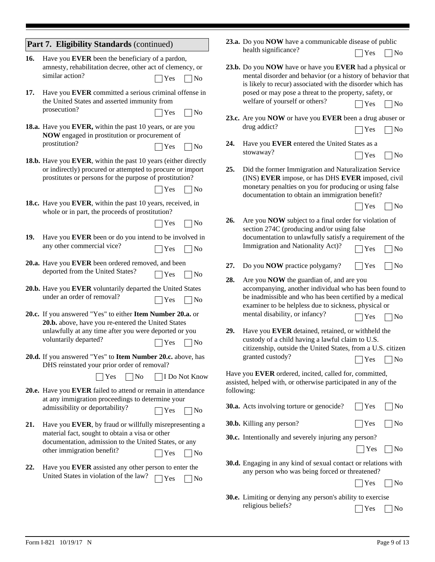|     | Part 7. Eligibility Standards (continued)                                                                            |                                    |            | 23.a. Do you NOW have a communicable disease of public                                                                                                                                                                       |     |                   |
|-----|----------------------------------------------------------------------------------------------------------------------|------------------------------------|------------|------------------------------------------------------------------------------------------------------------------------------------------------------------------------------------------------------------------------------|-----|-------------------|
| 16. | Have you EVER been the beneficiary of a pardon,                                                                      |                                    |            | health significance?                                                                                                                                                                                                         | Yes | N <sub>0</sub>    |
|     | amnesty, rehabilitation decree, other act of clemency, or<br>similar action?                                         | Yes<br>$\sqrt{N}$                  |            | 23.b. Do you NOW have or have you EVER had a physical or<br>mental disorder and behavior (or a history of behavior that<br>is likely to recur) associated with the disorder which has                                        |     |                   |
| 17. | Have you EVER committed a serious criminal offense in<br>the United States and asserted immunity from                |                                    |            | posed or may pose a threat to the property, safety, or<br>welfare of yourself or others?                                                                                                                                     | Yes | $\n  1$ No        |
|     | prosecution?<br>18.a. Have you EVER, within the past 10 years, or are you                                            | Yes<br>$\n  1$ No                  |            | 23.c. Are you NOW or have you EVER been a drug abuser or<br>drug addict?                                                                                                                                                     | Yes | $\n  No\n$        |
|     | NOW engaged in prostitution or procurement of<br>prostitution?                                                       | $\Box$ Yes<br>$\n  1$ No           | 24.        | Have you EVER entered the United States as a                                                                                                                                                                                 |     |                   |
|     | 18.b. Have you EVER, within the past 10 years (either directly                                                       |                                    |            | stowaway?                                                                                                                                                                                                                    | Yes | $\neg$ No         |
|     | or indirectly) procured or attempted to procure or import<br>prostitutes or persons for the purpose of prostitution? | Yes<br> No                         | 25.        | Did the former Immigration and Naturalization Service<br>(INS) EVER impose, or has DHS EVER imposed, civil<br>monetary penalties on you for producing or using false                                                         |     |                   |
|     | 18.c. Have you EVER, within the past 10 years, received, in                                                          |                                    |            | documentation to obtain an immigration benefit?                                                                                                                                                                              | Yes | $ $ No            |
|     | whole or in part, the proceeds of prostitution?                                                                      | $\neg$ No<br>Yes                   | 26.        | Are you NOW subject to a final order for violation of<br>section 274C (producing and/or using false                                                                                                                          |     |                   |
| 19. | Have you EVER been or do you intend to be involved in<br>any other commercial vice?                                  | $\bigcap$ Yes<br> No               |            | documentation to unlawfully satisfy a requirement of the<br>Immigration and Nationality Act)?                                                                                                                                | Yes | No                |
|     | 20.a. Have you EVER been ordered removed, and been<br>deported from the United States?                               | $\vert$ Yes<br> No                 | 27.        | Do you <b>NOW</b> practice polygamy?                                                                                                                                                                                         | Yes | $\neg$ No         |
|     | 20.b. Have you EVER voluntarily departed the United States<br>under an order of removal?                             | $\Box$ Yes<br>$\log$               | 28.        | Are you <b>NOW</b> the guardian of, and are you<br>accompanying, another individual who has been found to<br>be inadmissible and who has been certified by a medical<br>examiner to be helpless due to sickness, physical or |     |                   |
|     | 20.c. If you answered "Yes" to either Item Number 20.a. or<br>20.b. above, have you re-entered the United States     |                                    |            | mental disability, or infancy?                                                                                                                                                                                               | Yes | No                |
|     | unlawfully at any time after you were deported or you<br>voluntarily departed?                                       | Yes<br>$\log$                      | 29.        | Have you EVER detained, retained, or withheld the<br>custody of a child having a lawful claim to U.S.<br>citizenship, outside the United States, from a U.S. citizen                                                         |     |                   |
|     | 20.d. If you answered "Yes" to Item Number 20.c. above, has<br>DHS reinstated your prior order of removal?           |                                    |            | granted custody?                                                                                                                                                                                                             | Yes | $\n  No\n$        |
|     | $\neg$ No<br>Yes                                                                                                     | □ I Do Not Know                    |            | Have you EVER ordered, incited, called for, committed,<br>assisted, helped with, or otherwise participated in any of the                                                                                                     |     |                   |
|     | 20.e. Have you EVER failed to attend or remain in attendance<br>at any immigration proceedings to determine your     |                                    | following: | 30.a. Acts involving torture or genocide?                                                                                                                                                                                    | Yes | $\blacksquare$ No |
|     | admissibility or deportability?                                                                                      | Yes<br>$\overline{\phantom{a}}$ No |            | 30.b. Killing any person?                                                                                                                                                                                                    | Yes | N <sub>0</sub>    |
| 21. | Have you EVER, by fraud or willfully misrepresenting a<br>material fact, sought to obtain a visa or other            |                                    |            | <b>30.c.</b> Intentionally and severely injuring any person?                                                                                                                                                                 |     |                   |
|     | documentation, admission to the United States, or any<br>other immigration benefit?                                  | Yes<br>$\log$                      |            |                                                                                                                                                                                                                              | Yes | N <sub>0</sub>    |
| 22. | Have you EVER assisted any other person to enter the                                                                 |                                    |            | 30.d. Engaging in any kind of sexual contact or relations with<br>any person who was being forced or threatened?                                                                                                             |     |                   |
|     | United States in violation of the law?                                                                               | Yes<br>$\log$                      |            |                                                                                                                                                                                                                              | Yes | N <sub>0</sub>    |
|     |                                                                                                                      |                                    |            | 30.e. Limiting or denying any person's ability to exercise<br>religious beliefs?                                                                                                                                             | Yes | No                |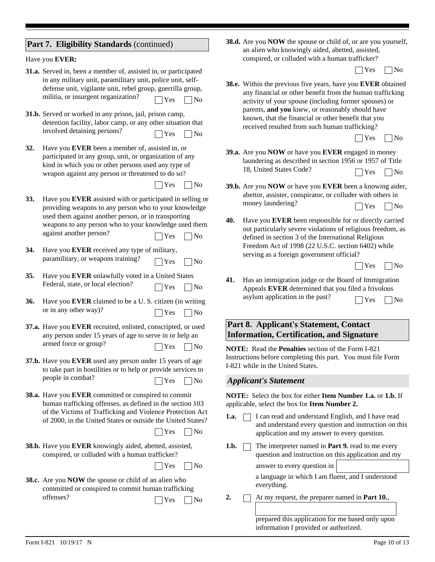|  |  | Part 7. Eligibility Standards (continued) |  |
|--|--|-------------------------------------------|--|
|--|--|-------------------------------------------|--|

#### Have you **EVER:**

- **31.a.** Served in, been a member of, assisted in, or participated in any military unit, paramilitary unit, police unit, selfdefense unit, vigilante unit, rebel group, guerrilla group, militia, or insurgent organization?  $\Box$  Yes  $\Box$  No
- **31.b.** Served or worked in any prison, jail, prison camp, detention facility, labor camp, or any other situation that involved detaining persons?  $\Box$  Yes  $\Box$  No
- **32.** Have you **EVER** been a member of, assisted in, or participated in any group, unit, or organization of any kind in which you or other persons used any type of weapon against any person or threatened to do so?

 $\bigcap$  Yes  $\bigcap$  No

- **33.** Have you **EVER** assisted with or participated in selling or providing weapons to any person who to your knowledge used them against another person, or in transporting weapons to any person who to your knowledge used them against another person?  $\Box$  Yes  $\Box$  No
- **34.** Have you **EVER** received any type of military, paramilitary, or weapons training?  $\Box$  Yes  $\Box$  No
- **35.** Have you **EVER** unlawfully voted in a United States Federal, state, or local election?  $\Box$  Yes  $\Box$  No
- **36.** Have you **EVER** claimed to be a U. S. citizen (in writing or in any other way)?  $\Box$  Yes  $\Box$  No
- **37.a.** Have you **EVER** recruited, enlisted, conscripted, or used any person under 15 years of age to serve in or help an armed force or group?  $\Box$  Yes  $\Box$  No
- **37.b.** Have you **EVER** used any person under 15 years of age to take part in hostilities or to help or provide services to people in combat?  $\Box$  Yes  $\Box$  No
- **38.a.** Have you **EVER** committed or conspired to commit human trafficking offenses, as defined in the section 103 of the Victims of Trafficking and Violence Protection Act of 2000, in the United States or outside the United States?

 $\Box$  Yes  $\Box$  No

**38.b.** Have you **EVER** knowingly aided, abetted, assisted, conspired, or colluded with a human trafficker?

 $\Box$  Yes  $\Box$  No

**38.c.** Are you **NOW** the spouse or child of an alien who committed or conspired to commit human trafficking offenses?  $\Box$  Yes  $\Box$  No **38.d.** Are you **NOW** the spouse or child of, or are you yourself, an alien who knowingly aided, abetted, assisted, conspired, or colluded with a human trafficker?

 $\Box$  Yes  $\Box$  No

**38.e.** Within the previous five years, have you **EVER** obtained any financial or other benefit from the human trafficking activity of your spouse (including former spouses) or parents, **and you** knew, or reasonably should have known, that the financial or other benefit that you received resulted from such human trafficking?

| ٧ | ı |
|---|---|
|---|---|

Г

- **39.a.** Are you **NOW** or have you **EVER** engaged in money laundering as described in section 1956 or 1957 of Title 18, United States Code?  $\bigcap Y$ es  $\bigcap N$ o
- **39.b.** Are you **NOW** or have you **EVER** been a knowing aider, abettor, assister, conspirator, or colluder with others in money laundering?  $\Box$  Yes  $\Box$  No
- **40.** Have you **EVER** been responsible for or directly carried out particularly severe violations of religious freedom, as defined in section 3 of the International Religious Freedom Act of 1998 (22 U.S.C. section 6402) while serving as a foreign government official?

| × |  |
|---|--|
|---|--|

**41.** Has an immigration judge or the Board of Immigration Appeals **EVER** determined that you filed a frivolous asylum application in the past?  $\Box$  Yes  $\Box$  No

# **Part 8. Applicant's Statement, Contact Information, Certification, and Signature**

**NOTE:** Read the **Penalties** section of the Form I-821 Instructions before completing this part. You must file Form I-821 while in the United States.

#### *Applicant's Statement*

**NOTE:** Select the box for either **Item Number 1.a.** or **1.b.** If applicable, select the box for **Item Number 2.**

- **1.a.**  $\Box$  I can read and understand English, and I have read and understand every question and instruction on this application and my answer to every question.
- **1.b.** The interpreter named in **Part 9.** read to me every question and instruction on this application and my

answer to every question in

a language in which I am fluent, and I understood everything.

**2.** At my request, the preparer named in **Part 10.**,

prepared this application for me based only upon information I provided or authorized.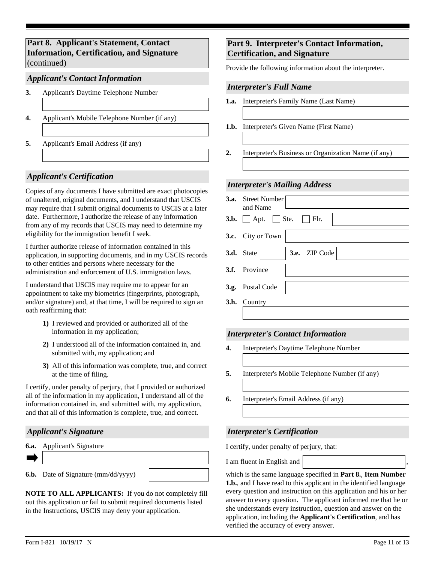**Part 8. Applicant's Statement, Contact Information, Certification, and Signature**  (continued)

## *Applicant's Contact Information*

- **3.** Applicant's Daytime Telephone Number
- **4.** Applicant's Mobile Telephone Number (if any)
- **5.** Applicant's Email Address (if any)

### *Applicant's Certification*

Copies of any documents I have submitted are exact photocopies of unaltered, original documents, and I understand that USCIS may require that I submit original documents to USCIS at a later date. Furthermore, I authorize the release of any information from any of my records that USCIS may need to determine my eligibility for the immigration benefit I seek.

I further authorize release of information contained in this application, in supporting documents, and in my USCIS records to other entities and persons where necessary for the administration and enforcement of U.S. immigration laws.

I understand that USCIS may require me to appear for an appointment to take my biometrics (fingerprints, photograph, and/or signature) and, at that time, I will be required to sign an oath reaffirming that:

- **1)** I reviewed and provided or authorized all of the information in my application;
- **2)** I understood all of the information contained in, and submitted with, my application; and
- **3)** All of this information was complete, true, and correct at the time of filing.

I certify, under penalty of perjury, that I provided or authorized all of the information in my application, I understand all of the information contained in, and submitted with, my application, and that all of this information is complete, true, and correct.

### *Applicant's Signature*

| <b>6.a.</b> Applicant's Signature |  |
|-----------------------------------|--|
|                                   |  |

**6.b.** Date of Signature (mm/dd/yyyy)

**NOTE TO ALL APPLICANTS:** If you do not completely fill out this application or fail to submit required documents listed in the Instructions, USCIS may deny your application.

# **Part 9. Interpreter's Contact Information, Certification, and Signature**

Provide the following information about the interpreter.

### *Interpreter's Full Name*

- **1.a.** Interpreter's Family Name (Last Name)
- **1.b.** Interpreter's Given Name (First Name)
- **2.** Interpreter's Business or Organization Name (if any)

#### *Interpreter's Mailing Address*

| <b>3.a.</b> Street Number<br>and Name             |
|---------------------------------------------------|
| $\Box$ Flr.<br>$3.b.$ Apt. Ste.                   |
| 3.c. City or Town                                 |
| $\blacktriangleright$ 3.e. ZIP Code<br>3.d. State |
| 3.f. Province                                     |
| 3.g. Postal Code                                  |
| 3.h. Country                                      |
|                                                   |

### *Interpreter's Contact Information*

- **4.** Interpreter's Daytime Telephone Number
- **5.** Interpreter's Mobile Telephone Number (if any)
- **6.** Interpreter's Email Address (if any)

### *Interpreter's Certification*

I certify, under penalty of perjury, that:

I am fluent in English and

which is the same language specified in **Part 8.**, **Item Number 1.b.**, and I have read to this applicant in the identified language every question and instruction on this application and his or her answer to every question. The applicant informed me that he or she understands every instruction, question and answer on the application, including the **Applicant's Certification**, and has verified the accuracy of every answer.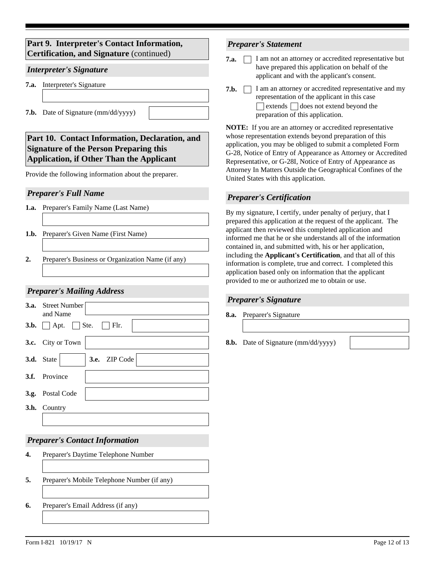# **Part 9. Interpreter's Contact Information, Certification, and Signature** (continued)

# *Interpreter's Signature*

- **7.a.** Interpreter's Signature
- **7.b.** Date of Signature (mm/dd/yyyy)
- **Part 10. Contact Information, Declaration, and Signature of the Person Preparing this Application, if Other Than the Applicant**

Provide the following information about the preparer.

# *Preparer's Full Name*

- **1.a.** Preparer's Family Name (Last Name)
- **1.b.** Preparer's Given Name (First Name)
- **2.** Preparer's Business or Organization Name (if any)

# *Preparer's Mailing Address*

| <b>3.a.</b> Street Number<br>and Name             |
|---------------------------------------------------|
| $3.b.$ Apt. Ste.<br>$\blacksquare$ Flr.           |
| 3.c. City or Town                                 |
| $\blacktriangleright$ 3.e. ZIP Code<br>3.d. State |
| 3.f. Province                                     |
| 3.g. Postal Code                                  |
| <b>3.h.</b> Country                               |
|                                                   |

# *Preparer's Contact Information*

- **4.** Preparer's Daytime Telephone Number
- **5.** Preparer's Mobile Telephone Number (if any)
- **6.** Preparer's Email Address (if any)

# *Preparer's Statement*

- **7.a.**  $\Box$  I am not an attorney or accredited representative but have prepared this application on behalf of the applicant and with the applicant's consent.
- **7.b.**  $\Box$  I am an attorney or accredited representative and my representation of the applicant in this case  $\Box$  extends  $\Box$  does not extend beyond the preparation of this application.

**NOTE:** If you are an attorney or accredited representative whose representation extends beyond preparation of this application, you may be obliged to submit a completed Form G-28, Notice of Entry of Appearance as Attorney or Accredited Representative, or G-28I, Notice of Entry of Appearance as Attorney In Matters Outside the Geographical Confines of the United States with this application.

# *Preparer's Certification*

By my signature, I certify, under penalty of perjury, that I prepared this application at the request of the applicant. The applicant then reviewed this completed application and informed me that he or she understands all of the information contained in, and submitted with, his or her application, including the **Applicant's Certification**, and that all of this information is complete, true and correct. I completed this application based only on information that the applicant provided to me or authorized me to obtain or use.

# *Preparer's Signature*

**8.a.** Preparer's Signature

**8.b.** Date of Signature (mm/dd/yyyy)